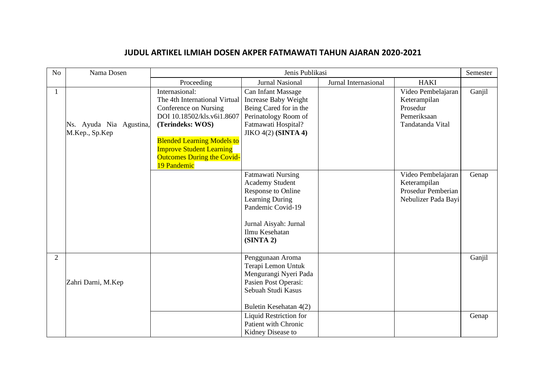## **JUDUL ARTIKEL ILMIAH DOSEN AKPER FATMAWATI TAHUN AJARAN 2020-2021**

| N <sub>o</sub> | Nama Dosen                                | Jenis Publikasi                                                                                                                                                                                                                                        |                                                                                                                                                                   |                      | Semester                                                                          |        |
|----------------|-------------------------------------------|--------------------------------------------------------------------------------------------------------------------------------------------------------------------------------------------------------------------------------------------------------|-------------------------------------------------------------------------------------------------------------------------------------------------------------------|----------------------|-----------------------------------------------------------------------------------|--------|
|                |                                           | Proceeding                                                                                                                                                                                                                                             | Jurnal Nasional                                                                                                                                                   | Jurnal Internasional | <b>HAKI</b>                                                                       |        |
| 1              | Ns. Ayuda Nia Agustina,<br>M.Kep., Sp.Kep | Internasional:<br>The 4th International Virtual<br>Conference on Nursing<br>DOI 10.18502/kls.v6i1.8607<br>(Terindeks: WOS)<br><b>Blended Learning Models to</b><br><b>Improve Student Learning</b><br><b>Outcomes During the Covid-</b><br>19 Pandemic | Can Infant Massage<br>Increase Baby Weight<br>Being Cared for in the<br>Perinatology Room of<br>Fatmawati Hospital?<br>JIKO $4(2)$ (SINTA 4)                      |                      | Video Pembelajaran<br>Keterampilan<br>Prosedur<br>Pemeriksaan<br>Tandatanda Vital | Ganjil |
|                |                                           |                                                                                                                                                                                                                                                        | Fatmawati Nursing<br><b>Academy Student</b><br>Response to Online<br>Learning During<br>Pandemic Covid-19<br>Jurnal Aisyah: Jurnal<br>Ilmu Kesehatan<br>(SINTA 2) |                      | Video Pembelajaran<br>Keterampilan<br>Prosedur Pemberian<br>Nebulizer Pada Bayi   | Genap  |
| $\overline{2}$ | Zahri Darni, M.Kep                        |                                                                                                                                                                                                                                                        | Penggunaan Aroma<br>Terapi Lemon Untuk<br>Mengurangi Nyeri Pada<br>Pasien Post Operasi:<br>Sebuah Studi Kasus<br>Buletin Kesehatan 4(2)                           |                      |                                                                                   | Ganjil |
|                |                                           |                                                                                                                                                                                                                                                        | Liquid Restriction for<br><b>Patient with Chronic</b><br>Kidney Disease to                                                                                        |                      |                                                                                   | Genap  |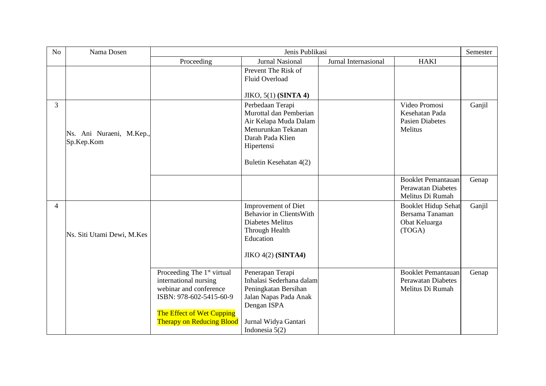| No             | Nama Dosen                             | Jenis Publikasi                                                                                                                                                                       |                                                                                                                                                          |                      | Semester                                                                   |        |
|----------------|----------------------------------------|---------------------------------------------------------------------------------------------------------------------------------------------------------------------------------------|----------------------------------------------------------------------------------------------------------------------------------------------------------|----------------------|----------------------------------------------------------------------------|--------|
|                |                                        | Proceeding                                                                                                                                                                            | <b>Jurnal Nasional</b>                                                                                                                                   | Jurnal Internasional | <b>HAKI</b>                                                                |        |
|                |                                        |                                                                                                                                                                                       | Prevent The Risk of<br><b>Fluid Overload</b><br><b>JIKO, 5(1) (SINTA 4)</b>                                                                              |                      |                                                                            |        |
| 3              | Ns. Ani Nuraeni, M.Kep.,<br>Sp.Kep.Kom |                                                                                                                                                                                       | Perbedaan Terapi<br>Murottal dan Pemberian<br>Air Kelapa Muda Dalam<br>Menurunkan Tekanan<br>Darah Pada Klien<br>Hipertensi<br>Buletin Kesehatan 4(2)    |                      | Video Promosi<br>Kesehatan Pada<br><b>Pasien Diabetes</b><br>Melitus       | Ganjil |
|                |                                        |                                                                                                                                                                                       |                                                                                                                                                          |                      | <b>Booklet Pemantauan</b><br><b>Perawatan Diabetes</b><br>Melitus Di Rumah | Genap  |
| $\overline{4}$ | Ns. Siti Utami Dewi, M.Kes             |                                                                                                                                                                                       | <b>Improvement of Diet</b><br><b>Behavior in ClientsWith</b><br>Diabetes Melitus<br>Through Health<br>Education<br><b>JIKO 4(2) (SINTA4)</b>             |                      | <b>Booklet Hidup Sehat</b><br>Bersama Tanaman<br>Obat Keluarga<br>(TOGA)   | Ganjil |
|                |                                        | Proceeding The 1 <sup>st</sup> virtual<br>international nursing<br>webinar and conference<br>ISBN: 978-602-5415-60-9<br>The Effect of Wet Cupping<br><b>Therapy on Reducing Blood</b> | Penerapan Terapi<br>Inhalasi Sederhana dalam<br>Peningkatan Bersihan<br>Jalan Napas Pada Anak<br>Dengan ISPA<br>Jurnal Widya Gantari<br>Indonesia $5(2)$ |                      | <b>Booklet Pemantauan</b><br><b>Perawatan Diabetes</b><br>Melitus Di Rumah | Genap  |